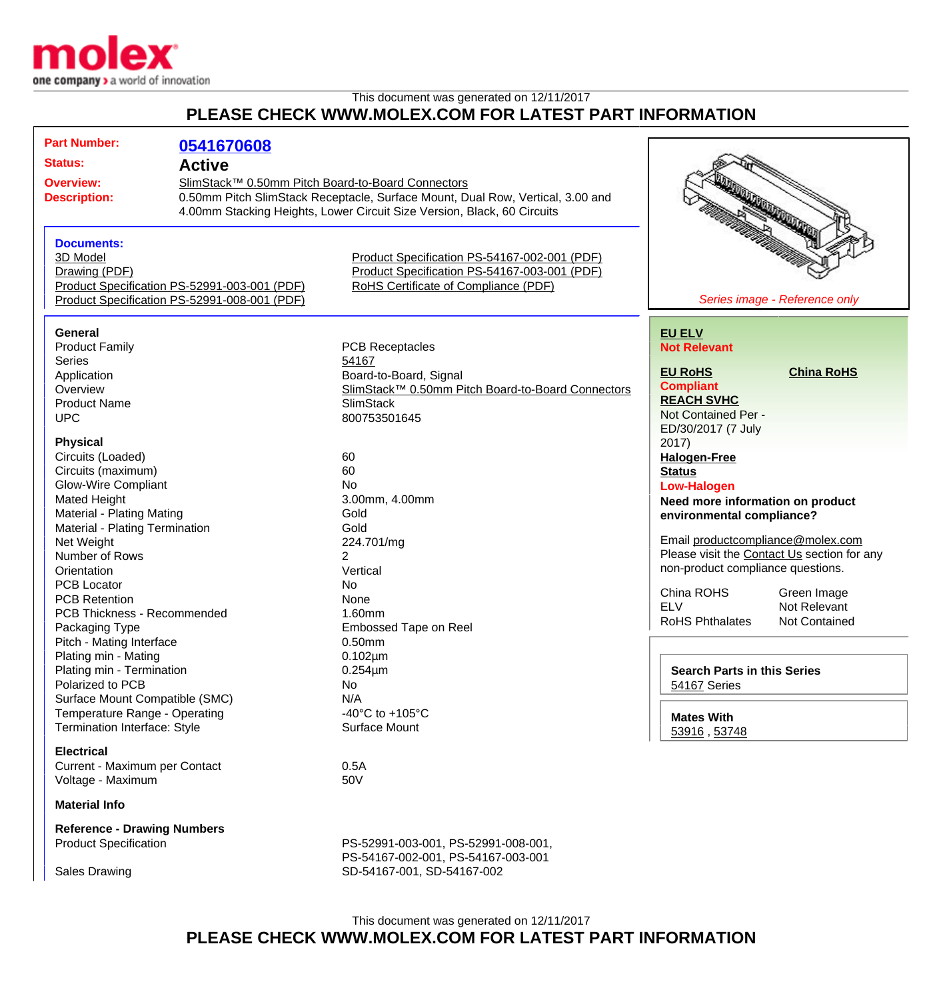

## This document was generated on 12/11/2017 **PLEASE CHECK WWW.MOLEX.COM FOR LATEST PART INFORMATION**

| <b>Part Number:</b>                          | 0541670608                                                                                                                          |                                                   |                                                    |                      |
|----------------------------------------------|-------------------------------------------------------------------------------------------------------------------------------------|---------------------------------------------------|----------------------------------------------------|----------------------|
| <b>Status:</b>                               | <b>Active</b>                                                                                                                       |                                                   |                                                    |                      |
| <b>Overview:</b>                             |                                                                                                                                     |                                                   |                                                    |                      |
| <b>Description:</b>                          | SlimStack™ 0.50mm Pitch Board-to-Board Connectors<br>0.50mm Pitch SlimStack Receptacle, Surface Mount, Dual Row, Vertical, 3.00 and |                                                   |                                                    |                      |
|                                              | 4.00mm Stacking Heights, Lower Circuit Size Version, Black, 60 Circuits                                                             |                                                   |                                                    |                      |
|                                              |                                                                                                                                     |                                                   |                                                    | <b>READERS</b>       |
|                                              |                                                                                                                                     |                                                   |                                                    |                      |
| <b>Documents:</b>                            |                                                                                                                                     |                                                   |                                                    |                      |
| 3D Model                                     |                                                                                                                                     | Product Specification PS-54167-002-001 (PDF)      |                                                    |                      |
| Drawing (PDF)                                |                                                                                                                                     | Product Specification PS-54167-003-001 (PDF)      |                                                    |                      |
| Product Specification PS-52991-003-001 (PDF) |                                                                                                                                     | <b>RoHS Certificate of Compliance (PDF)</b>       |                                                    |                      |
| Product Specification PS-52991-008-001 (PDF) |                                                                                                                                     |                                                   | Series image - Reference only                      |                      |
|                                              |                                                                                                                                     |                                                   |                                                    |                      |
| <b>General</b>                               |                                                                                                                                     |                                                   | <b>EU ELV</b>                                      |                      |
| <b>Product Family</b>                        |                                                                                                                                     | <b>PCB Receptacles</b>                            | <b>Not Relevant</b>                                |                      |
| <b>Series</b>                                |                                                                                                                                     | 54167                                             | <b>EU RoHS</b>                                     | <b>China RoHS</b>    |
| Application                                  |                                                                                                                                     | Board-to-Board, Signal                            | <b>Compliant</b>                                   |                      |
| Overview                                     |                                                                                                                                     | SlimStack™ 0.50mm Pitch Board-to-Board Connectors | <b>REACH SVHC</b>                                  |                      |
| <b>Product Name</b>                          |                                                                                                                                     | <b>SlimStack</b>                                  | Not Contained Per -                                |                      |
| <b>UPC</b>                                   |                                                                                                                                     | 800753501645                                      |                                                    |                      |
| <b>Physical</b>                              |                                                                                                                                     |                                                   | ED/30/2017 (7 July<br>2017)                        |                      |
| Circuits (Loaded)                            |                                                                                                                                     | 60                                                |                                                    |                      |
|                                              |                                                                                                                                     | 60                                                | <b>Halogen-Free</b><br><b>Status</b>               |                      |
| Circuits (maximum)                           |                                                                                                                                     | No                                                |                                                    |                      |
| <b>Glow-Wire Compliant</b>                   |                                                                                                                                     | 3.00mm, 4.00mm                                    | <b>Low-Halogen</b>                                 |                      |
| Mated Height                                 |                                                                                                                                     | Gold                                              | Need more information on product                   |                      |
| <b>Material - Plating Mating</b>             |                                                                                                                                     | Gold                                              | environmental compliance?                          |                      |
| Material - Plating Termination               |                                                                                                                                     |                                                   | Email productcompliance@molex.com                  |                      |
| Net Weight<br>Number of Rows                 |                                                                                                                                     | 224.701/mg<br>2                                   | Please visit the Contact Us section for any        |                      |
| Orientation                                  |                                                                                                                                     | Vertical                                          | non-product compliance questions.                  |                      |
| <b>PCB Locator</b>                           |                                                                                                                                     | No                                                |                                                    |                      |
| <b>PCB Retention</b>                         |                                                                                                                                     | None                                              | China ROHS                                         | Green Image          |
| PCB Thickness - Recommended                  |                                                                                                                                     | 1.60mm                                            | <b>ELV</b>                                         | Not Relevant         |
| Packaging Type                               |                                                                                                                                     | <b>Embossed Tape on Reel</b>                      | <b>RoHS Phthalates</b>                             | <b>Not Contained</b> |
| Pitch - Mating Interface                     |                                                                                                                                     | $0.50$ mm                                         |                                                    |                      |
| Plating min - Mating                         |                                                                                                                                     | $0.102 \mu m$                                     |                                                    |                      |
| Plating min - Termination                    |                                                                                                                                     | $0.254 \mu m$                                     |                                                    |                      |
| Polarized to PCB                             |                                                                                                                                     | No                                                | <b>Search Parts in this Series</b><br>54167 Series |                      |
| Surface Mount Compatible (SMC)               |                                                                                                                                     | N/A                                               |                                                    |                      |
| Temperature Range - Operating                |                                                                                                                                     | -40 $^{\circ}$ C to +105 $^{\circ}$ C             |                                                    |                      |
| Termination Interface: Style                 |                                                                                                                                     | Surface Mount                                     | <b>Mates With</b>                                  |                      |
|                                              |                                                                                                                                     |                                                   | 53916, 53748                                       |                      |
| <b>Electrical</b>                            |                                                                                                                                     |                                                   |                                                    |                      |
| Current - Maximum per Contact                |                                                                                                                                     | 0.5A                                              |                                                    |                      |
| Voltage - Maximum                            |                                                                                                                                     | 50V                                               |                                                    |                      |
| <b>Material Info</b>                         |                                                                                                                                     |                                                   |                                                    |                      |
|                                              |                                                                                                                                     |                                                   |                                                    |                      |
| <b>Reference - Drawing Numbers</b>           |                                                                                                                                     |                                                   |                                                    |                      |
| <b>Product Specification</b>                 |                                                                                                                                     | PS-52991-003-001, PS-52991-008-001,               |                                                    |                      |
|                                              |                                                                                                                                     | PS-54167-002-001, PS-54167-003-001                |                                                    |                      |
| <b>Sales Drawing</b>                         |                                                                                                                                     | SD-54167-001, SD-54167-002                        |                                                    |                      |